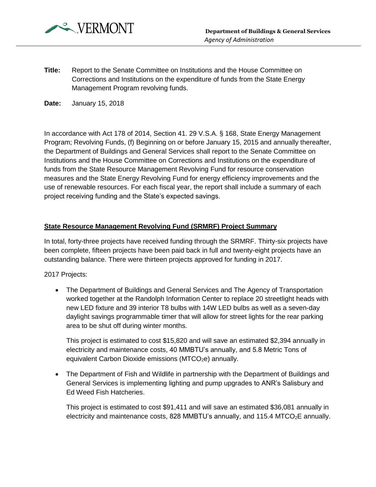

**Title:** Report to the Senate Committee on Institutions and the House Committee on Corrections and Institutions on the expenditure of funds from the State Energy Management Program revolving funds.

**Date:** January 15, 2018

In accordance with Act 178 of 2014, Section 41. 29 V.S.A. § 168, State Energy Management Program; Revolving Funds, (f) Beginning on or before January 15, 2015 and annually thereafter, the Department of Buildings and General Services shall report to the Senate Committee on Institutions and the House Committee on Corrections and Institutions on the expenditure of funds from the State Resource Management Revolving Fund for resource conservation measures and the State Energy Revolving Fund for energy efficiency improvements and the use of renewable resources. For each fiscal year, the report shall include a summary of each project receiving funding and the State's expected savings.

## **State Resource Management Revolving Fund (SRMRF) Project Summary**

In total, forty-three projects have received funding through the SRMRF. Thirty-six projects have been complete, fifteen projects have been paid back in full and twenty-eight projects have an outstanding balance. There were thirteen projects approved for funding in 2017.

2017 Projects:

 The Department of Buildings and General Services and The Agency of Transportation worked together at the Randolph Information Center to replace 20 streetlight heads with new LED fixture and 39 interior T8 bulbs with 14W LED bulbs as well as a seven-day daylight savings programmable timer that will allow for street lights for the rear parking area to be shut off during winter months.

This project is estimated to cost \$15,820 and will save an estimated \$2,394 annually in electricity and maintenance costs, 40 MMBTU's annually, and 5.8 Metric Tons of equivalent Carbon Dioxide emissions ( $MTCO<sub>2</sub>e$ ) annually.

• The Department of Fish and Wildlife in partnership with the Department of Buildings and General Services is implementing lighting and pump upgrades to ANR's Salisbury and Ed Weed Fish Hatcheries.

This project is estimated to cost \$91,411 and will save an estimated \$36,081 annually in electricity and maintenance costs, 828 MMBTU's annually, and 115.4 MTCO<sub>2</sub>E annually.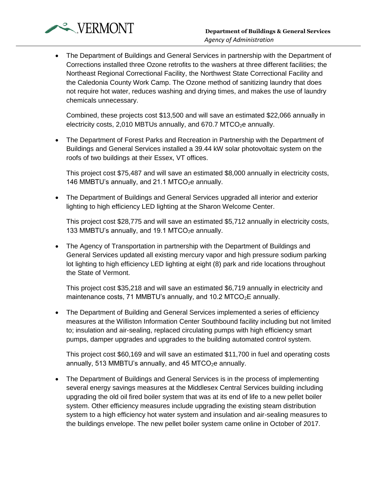

 The Department of Buildings and General Services in partnership with the Department of Corrections installed three Ozone retrofits to the washers at three different facilities; the Northeast Regional Correctional Facility, the Northwest State Correctional Facility and the Caledonia County Work Camp. The Ozone method of sanitizing laundry that does not require hot water, reduces washing and drying times, and makes the use of laundry chemicals unnecessary.

Combined, these projects cost \$13,500 and will save an estimated \$22,066 annually in electricity costs, 2,010 MBTUs annually, and 670.7 MTCO $_2$ e annually.

 The Department of Forest Parks and Recreation in Partnership with the Department of Buildings and General Services installed a 39.44 kW solar photovoltaic system on the roofs of two buildings at their Essex, VT offices.

This project cost \$75,487 and will save an estimated \$8,000 annually in electricity costs, 146 MMBTU's annually, and 21.1 MTCO $_2$ e annually.

 The Department of Buildings and General Services upgraded all interior and exterior lighting to high efficiency LED lighting at the Sharon Welcome Center.

This project cost \$28,775 and will save an estimated \$5,712 annually in electricity costs, 133 MMBTU's annually, and 19.1 MTCO $_2$ e annually.

 The Agency of Transportation in partnership with the Department of Buildings and General Services updated all existing mercury vapor and high pressure sodium parking lot lighting to high efficiency LED lighting at eight (8) park and ride locations throughout the State of Vermont.

This project cost \$35,218 and will save an estimated \$6,719 annually in electricity and maintenance costs, 71 MMBTU's annually, and 10.2 MTCO $_2$ E annually.

 The Department of Building and General Services implemented a series of efficiency measures at the Williston Information Center Southbound facility including but not limited to; insulation and air-sealing, replaced circulating pumps with high efficiency smart pumps, damper upgrades and upgrades to the building automated control system.

This project cost \$60,169 and will save an estimated \$11,700 in fuel and operating costs annually, 513 MMBTU's annually, and 45 MTCO $_2$ e annually.

 The Department of Buildings and General Services is in the process of implementing several energy savings measures at the Middlesex Central Services building including upgrading the old oil fired boiler system that was at its end of life to a new pellet boiler system. Other efficiency measures include upgrading the existing steam distribution system to a high efficiency hot water system and insulation and air-sealing measures to the buildings envelope. The new pellet boiler system came online in October of 2017.